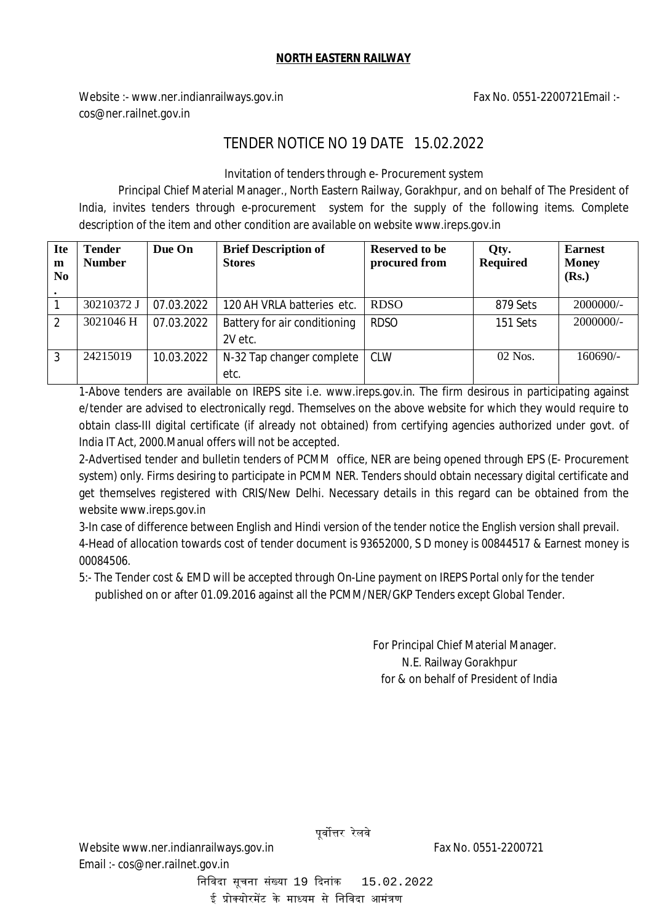## **NORTH EASTERN RAILWAY**

Website :- www.ner.indianrailways.gov.in Fax No. 0551-2200721Email :cos@ner.railnet.gov.in

## TENDER NOTICE NO 19 DATE 15.02.2022

Invitation of tenders through e- Procurement system

Principal Chief Material Manager., North Eastern Railway, Gorakhpur, and on behalf of The President of India, invites tenders through e-procurement system for the supply of the following items. Complete description of the item and other condition are available on website www.ireps.gov.in

| <b>Ite</b><br>m<br>N <sub>0</sub> | <b>Tender</b><br><b>Number</b> | Due On     | <b>Brief Description of</b><br><b>Stores</b> | Reserved to be<br>procured from | Qty.<br><b>Required</b> | <b>Earnest</b><br><b>Money</b><br>(Rs.) |
|-----------------------------------|--------------------------------|------------|----------------------------------------------|---------------------------------|-------------------------|-----------------------------------------|
|                                   | 30210372 J                     | 07.03.2022 | 120 AH VRLA batteries etc.                   | <b>RDSO</b>                     | 879 Sets                | $2000000/$ -                            |
| $\mathfrak{D}$                    | 3021046 H                      | 07.03.2022 | Battery for air conditioning<br>2V etc.      | <b>RDSO</b>                     | 151 Sets                | $2000000/$ -                            |
| 3                                 | 24215019                       | 10.03.2022 | N-32 Tap changer complete<br>etc.            | <b>CLW</b>                      | $02$ Nos.               | $160690/-$                              |

1-Above tenders are available on IREPS site i.e. www.ireps.gov.in. The firm desirous in participating against e/tender are advised to electronically regd. Themselves on the above website for which they would require to obtain class-III digital certificate (if already not obtained) from certifying agencies authorized under govt. of India IT Act, 2000.Manual offers will not be accepted.

2-Advertised tender and bulletin tenders of PCMM office, NER are being opened through EPS (E- Procurement system) only. Firms desiring to participate in PCMM NER. Tenders should obtain necessary digital certificate and get themselves registered with CRIS/New Delhi. Necessary details in this regard can be obtained from the website www.ireps.gov.in

3-In case of difference between English and Hindi version of the tender notice the English version shall prevail. 4-Head of allocation towards cost of tender document is 93652000, S D money is 00844517 & Earnest money is 00084506.

5:- The Tender cost & EMD will be accepted through On-Line payment on IREPS Portal only for the tender published on or after 01.09.2016 against all the PCMM/NER/GKP Tenders except Global Tender.

> For Principal Chief Material Manager. N.E. Railway Gorakhpur  *f*or & on behalf of President of India

ई प्रोक्योरमेंट के माध्यम से निविदा आमंत्रण